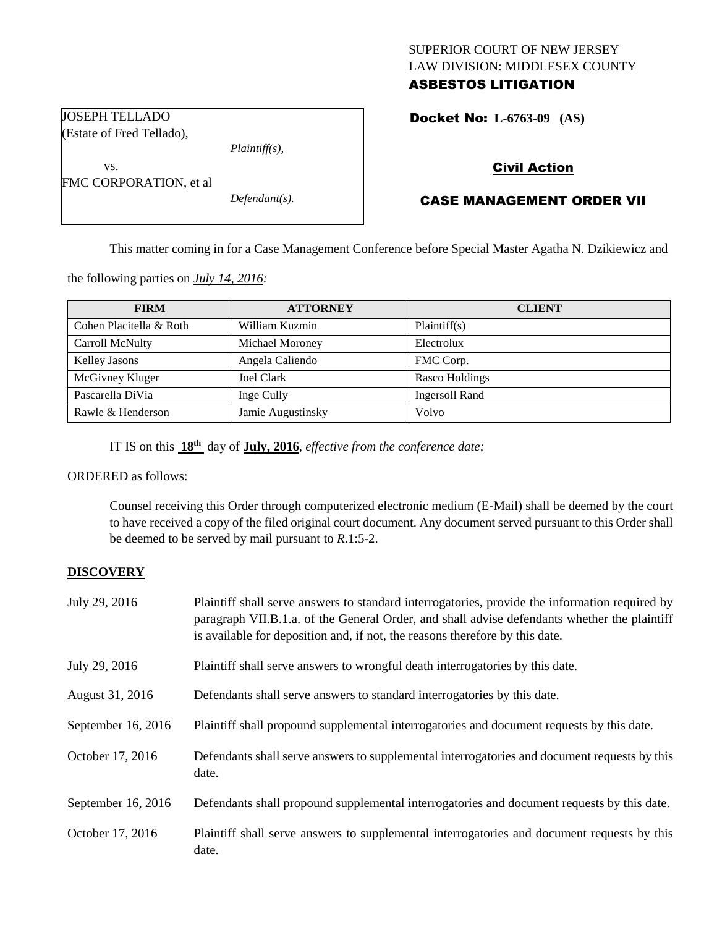# SUPERIOR COURT OF NEW JERSEY LAW DIVISION: MIDDLESEX COUNTY

# ASBESTOS LITIGATION

Docket No: **L-6763-09 (AS)** 

#### JOSEPH TELLADO (Estate of Fred Tellado),

FMC CORPORATION, et al

vs.

*Plaintiff(s),*

*Defendant(s).*

## Civil Action

## CASE MANAGEMENT ORDER VII

This matter coming in for a Case Management Conference before Special Master Agatha N. Dzikiewicz and

the following parties on *July 14, 2016:*

| <b>FIRM</b>             | <b>ATTORNEY</b>   | <b>CLIENT</b>         |
|-------------------------|-------------------|-----------------------|
| Cohen Placitella & Roth | William Kuzmin    | Plaintiff(s)          |
| Carroll McNulty         | Michael Moroney   | Electrolux            |
| <b>Kelley Jasons</b>    | Angela Caliendo   | FMC Corp.             |
| McGivney Kluger         | Joel Clark        | Rasco Holdings        |
| Pascarella DiVia        | Inge Cully        | <b>Ingersoll Rand</b> |
| Rawle & Henderson       | Jamie Augustinsky | Volvo                 |

IT IS on this  $18^{th}$  day of **July, 2016**, *effective from the conference date*;

ORDERED as follows:

Counsel receiving this Order through computerized electronic medium (E-Mail) shall be deemed by the court to have received a copy of the filed original court document. Any document served pursuant to this Order shall be deemed to be served by mail pursuant to *R*.1:5-2.

## **DISCOVERY**

| July 29, 2016      | Plaintiff shall serve answers to standard interrogatories, provide the information required by<br>paragraph VII.B.1.a. of the General Order, and shall advise defendants whether the plaintiff<br>is available for deposition and, if not, the reasons therefore by this date. |
|--------------------|--------------------------------------------------------------------------------------------------------------------------------------------------------------------------------------------------------------------------------------------------------------------------------|
| July 29, 2016      | Plaintiff shall serve answers to wrongful death interrogatories by this date.                                                                                                                                                                                                  |
| August 31, 2016    | Defendants shall serve answers to standard interrogatories by this date.                                                                                                                                                                                                       |
| September 16, 2016 | Plaintiff shall propound supplemental interrogatories and document requests by this date.                                                                                                                                                                                      |
| October 17, 2016   | Defendants shall serve answers to supplemental interrogatories and document requests by this<br>date.                                                                                                                                                                          |
| September 16, 2016 | Defendants shall propound supplemental interrogatories and document requests by this date.                                                                                                                                                                                     |
| October 17, 2016   | Plaintiff shall serve answers to supplemental interrogatories and document requests by this<br>date.                                                                                                                                                                           |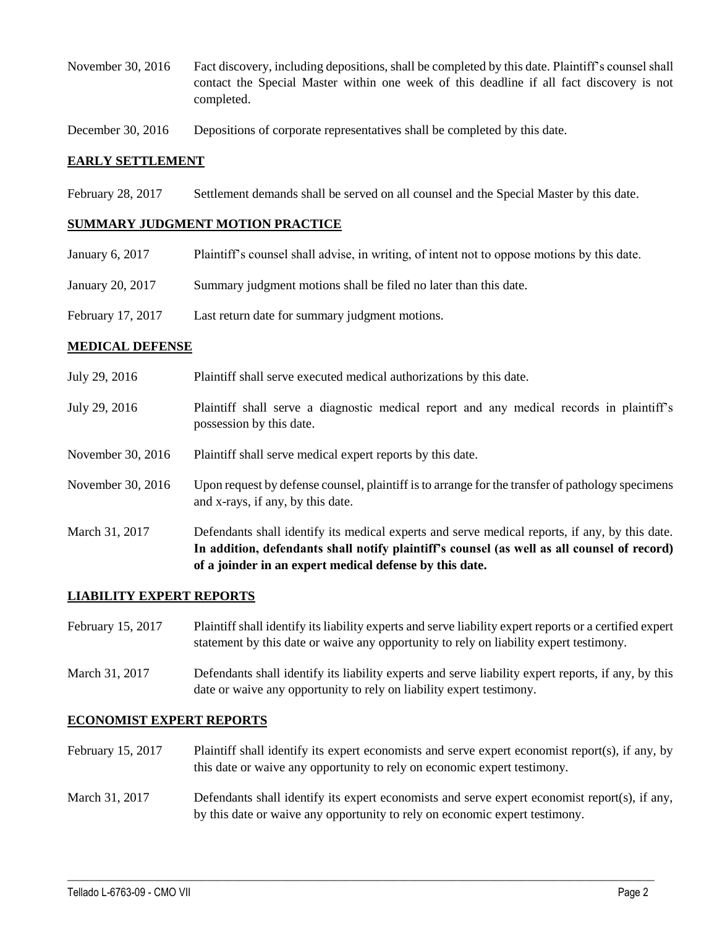November 30, 2016 Fact discovery, including depositions, shall be completed by this date. Plaintiff's counsel shall contact the Special Master within one week of this deadline if all fact discovery is not completed.

December 30, 2016 Depositions of corporate representatives shall be completed by this date.

#### **EARLY SETTLEMENT**

February 28, 2017 Settlement demands shall be served on all counsel and the Special Master by this date.

#### **SUMMARY JUDGMENT MOTION PRACTICE**

- January 6, 2017 Plaintiff's counsel shall advise, in writing, of intent not to oppose motions by this date.
- January 20, 2017 Summary judgment motions shall be filed no later than this date.
- February 17, 2017 Last return date for summary judgment motions.

#### **MEDICAL DEFENSE**

- July 29, 2016 Plaintiff shall serve executed medical authorizations by this date.
- July 29, 2016 Plaintiff shall serve a diagnostic medical report and any medical records in plaintiff's possession by this date.
- November 30, 2016 Plaintiff shall serve medical expert reports by this date.
- November 30, 2016 Upon request by defense counsel, plaintiff is to arrange for the transfer of pathology specimens and x-rays, if any, by this date.
- March 31, 2017 Defendants shall identify its medical experts and serve medical reports, if any, by this date. **In addition, defendants shall notify plaintiff's counsel (as well as all counsel of record) of a joinder in an expert medical defense by this date.**

#### **LIABILITY EXPERT REPORTS**

- February 15, 2017 Plaintiff shall identify its liability experts and serve liability expert reports or a certified expert statement by this date or waive any opportunity to rely on liability expert testimony.
- March 31, 2017 Defendants shall identify its liability experts and serve liability expert reports, if any, by this date or waive any opportunity to rely on liability expert testimony.

### **ECONOMIST EXPERT REPORTS**

- February 15, 2017 Plaintiff shall identify its expert economists and serve expert economist report(s), if any, by this date or waive any opportunity to rely on economic expert testimony.
- March 31, 2017 Defendants shall identify its expert economists and serve expert economist report(s), if any, by this date or waive any opportunity to rely on economic expert testimony.

 $\_$  , and the set of the set of the set of the set of the set of the set of the set of the set of the set of the set of the set of the set of the set of the set of the set of the set of the set of the set of the set of th